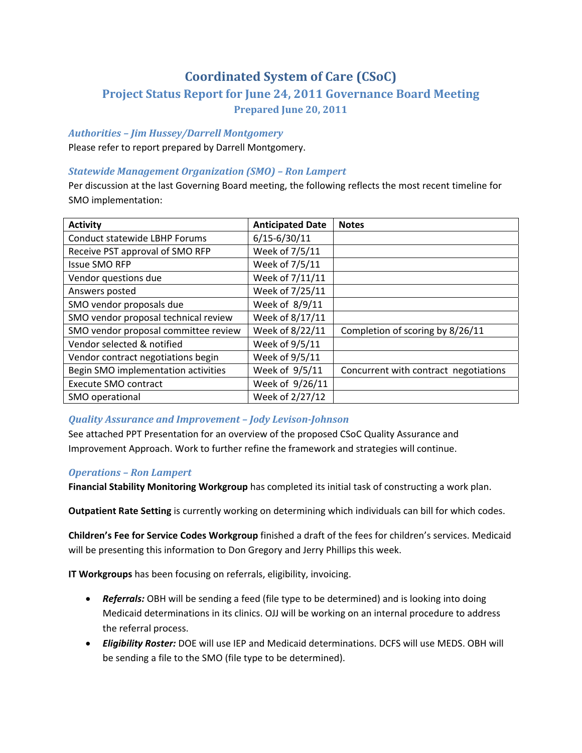# **Coordinated System of Care (CSoC)**

## **Project Status Report for June 24, 2011 Governance Board Meeting Prepared June 20, 2011**

### *Authorities – Jim Hussey/Darrell Montgomery*

Please refer to report prepared by Darrell Montgomery.

### *Statewide Management Organization (SMO) – Ron Lampert*

Per discussion at the last Governing Board meeting, the following reflects the most recent timeline for SMO implementation:

| <b>Activity</b>                      | <b>Anticipated Date</b> | <b>Notes</b>                          |
|--------------------------------------|-------------------------|---------------------------------------|
| <b>Conduct statewide LBHP Forums</b> | $6/15 - 6/30/11$        |                                       |
| Receive PST approval of SMO RFP      | Week of 7/5/11          |                                       |
| <b>Issue SMO RFP</b>                 | Week of 7/5/11          |                                       |
| Vendor questions due                 | Week of 7/11/11         |                                       |
| Answers posted                       | Week of 7/25/11         |                                       |
| SMO vendor proposals due             | Week of 8/9/11          |                                       |
| SMO vendor proposal technical review | Week of 8/17/11         |                                       |
| SMO vendor proposal committee review | Week of 8/22/11         | Completion of scoring by 8/26/11      |
| Vendor selected & notified           | Week of 9/5/11          |                                       |
| Vendor contract negotiations begin   | Week of 9/5/11          |                                       |
| Begin SMO implementation activities  | Week of 9/5/11          | Concurrent with contract negotiations |
| Execute SMO contract                 | Week of 9/26/11         |                                       |
| SMO operational                      | Week of 2/27/12         |                                       |

## *Quality Assurance and Improvement – Jody LevisonJohnson*

See attached PPT Presentation for an overview of the proposed CSoC Quality Assurance and Improvement Approach. Work to further refine the framework and strategies will continue.

## *Operations – Ron Lampert*

**Financial Stability Monitoring Workgroup** has completed its initial task of constructing a work plan.

**Outpatient Rate Setting** is currently working on determining which individuals can bill for which codes.

**Children's Fee for Service Codes Workgroup** finished a draft of the fees for children's services. Medicaid will be presenting this information to Don Gregory and Jerry Phillips this week.

**IT Workgroups** has been focusing on referrals, eligibility, invoicing.

- *Referrals:* OBH will be sending a feed (file type to be determined) and is looking into doing Medicaid determinations in its clinics. OJJ will be working on an internal procedure to address the referral process.
- *Eligibility Roster:* DOE will use IEP and Medicaid determinations. DCFS will use MEDS. OBH will be sending a file to the SMO (file type to be determined).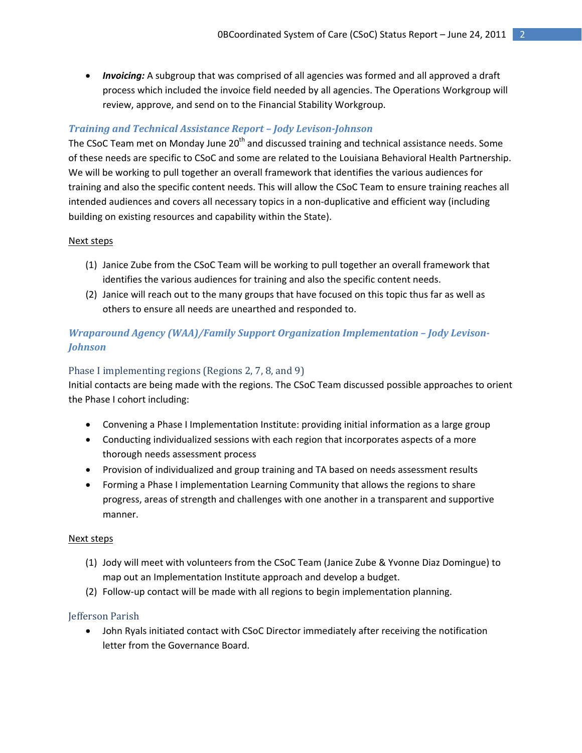• *Invoicing:* A subgroup that was comprised of all agencies was formed and all approved a draft process which included the invoice field needed by all agencies. The Operations Workgroup will review, approve, and send on to the Financial Stability Workgroup.

## *Training and Technical Assistance Report – Jody LevisonJohnson*

The CSoC Team met on Monday June 20<sup>th</sup> and discussed training and technical assistance needs. Some of these needs are specific to CSoC and some are related to the Louisiana Behavioral Health Partnership. We will be working to pull together an overall framework that identifies the various audiences for training and also the specific content needs. This will allow the CSoC Team to ensure training reaches all intended audiences and covers all necessary topics in a non‐duplicative and efficient way (including building on existing resources and capability within the State).

### Next steps

- (1) Janice Zube from the CSoC Team will be working to pull together an overall framework that identifies the various audiences for training and also the specific content needs.
- (2) Janice will reach out to the many groups that have focused on this topic thus far as well as others to ensure all needs are unearthed and responded to.

## *Wraparound Agency (WAA)/Family Support Organization Implementation – Jody Levison-Johnson*

### Phase I implementing regions (Regions 2, 7, 8, and 9)

Initial contacts are being made with the regions. The CSoC Team discussed possible approaches to orient the Phase I cohort including:

- Convening a Phase I Implementation Institute: providing initial information as a large group
- Conducting individualized sessions with each region that incorporates aspects of a more thorough needs assessment process
- Provision of individualized and group training and TA based on needs assessment results
- Forming a Phase I implementation Learning Community that allows the regions to share progress, areas of strength and challenges with one another in a transparent and supportive manner.

### Next steps

- (1) Jody will meet with volunteers from the CSoC Team (Janice Zube & Yvonne Diaz Domingue) to map out an Implementation Institute approach and develop a budget.
- (2) Follow‐up contact will be made with all regions to begin implementation planning.

### Jefferson Parish

• John Ryals initiated contact with CSoC Director immediately after receiving the notification letter from the Governance Board.